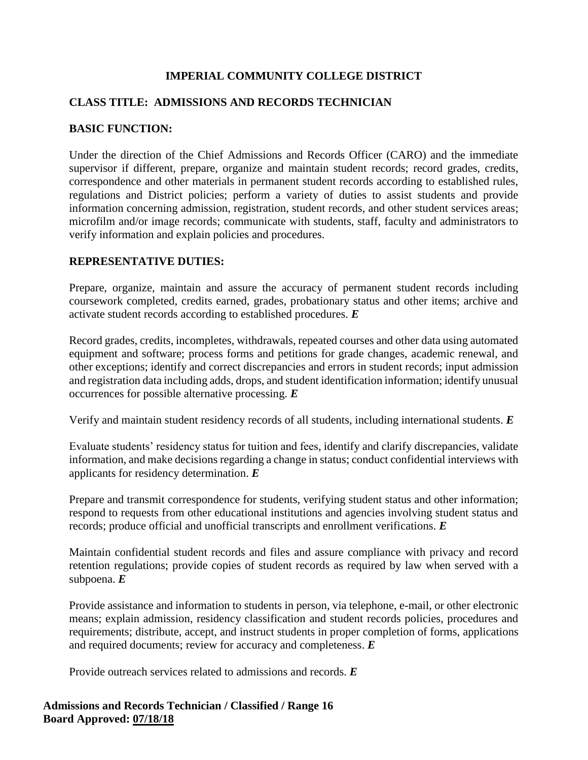# **IMPERIAL COMMUNITY COLLEGE DISTRICT**

# **CLASS TITLE: ADMISSIONS AND RECORDS TECHNICIAN**

### **BASIC FUNCTION:**

Under the direction of the Chief Admissions and Records Officer (CARO) and the immediate supervisor if different, prepare, organize and maintain student records; record grades, credits, correspondence and other materials in permanent student records according to established rules, regulations and District policies; perform a variety of duties to assist students and provide information concerning admission, registration, student records, and other student services areas; microfilm and/or image records; communicate with students, staff, faculty and administrators to verify information and explain policies and procedures.

### **REPRESENTATIVE DUTIES:**

Prepare, organize, maintain and assure the accuracy of permanent student records including coursework completed, credits earned, grades, probationary status and other items; archive and activate student records according to established procedures. *E*

Record grades, credits, incompletes, withdrawals, repeated courses and other data using automated equipment and software; process forms and petitions for grade changes, academic renewal, and other exceptions; identify and correct discrepancies and errors in student records; input admission and registration data including adds, drops, and student identification information; identify unusual occurrences for possible alternative processing. *E*

Verify and maintain student residency records of all students, including international students. *E*

Evaluate students' residency status for tuition and fees, identify and clarify discrepancies, validate information, and make decisions regarding a change in status; conduct confidential interviews with applicants for residency determination. *E*

Prepare and transmit correspondence for students, verifying student status and other information; respond to requests from other educational institutions and agencies involving student status and records; produce official and unofficial transcripts and enrollment verifications. *E*

Maintain confidential student records and files and assure compliance with privacy and record retention regulations; provide copies of student records as required by law when served with a subpoena. *E*

Provide assistance and information to students in person, via telephone, e-mail, or other electronic means; explain admission, residency classification and student records policies, procedures and requirements; distribute, accept, and instruct students in proper completion of forms, applications and required documents; review for accuracy and completeness. *E*

Provide outreach services related to admissions and records. *E*

### **Admissions and Records Technician / Classified / Range 16 Board Approved: 07/18/18**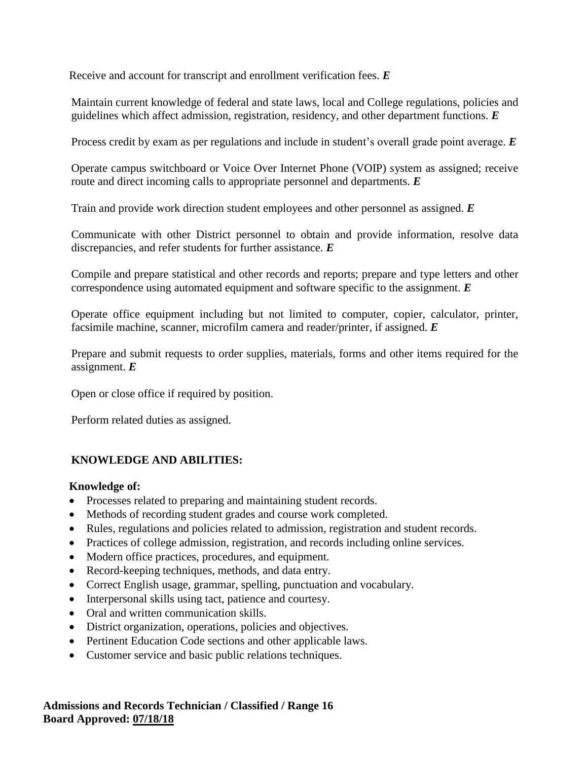Receive and account for transcript and enrollment verification fees. *E*

Maintain current knowledge of federal and state laws, local and College regulations, policies and guidelines which affect admission, registration, residency, and other department functions. *E*

Process credit by exam as per regulations and include in student's overall grade point average. *E*

Operate campus switchboard or Voice Over Internet Phone (VOIP) system as assigned; receive route and direct incoming calls to appropriate personnel and departments. *E*

Train and provide work direction student employees and other personnel as assigned. *E*

Communicate with other District personnel to obtain and provide information, resolve data discrepancies, and refer students for further assistance. *E*

Compile and prepare statistical and other records and reports; prepare and type letters and other correspondence using automated equipment and software specific to the assignment. *E*

Operate office equipment including but not limited to computer, copier, calculator, printer, facsimile machine, scanner, microfilm camera and reader/printer, if assigned. *E*

Prepare and submit requests to order supplies, materials, forms and other items required for the assignment. *E*

Open or close office if required by position.

Perform related duties as assigned.

## **KNOWLEDGE AND ABILITIES:**

#### **Knowledge of:**

- Processes related to preparing and maintaining student records.
- Methods of recording student grades and course work completed.
- Rules, regulations and policies related to admission, registration and student records.
- Practices of college admission, registration, and records including online services.
- Modern office practices, procedures, and equipment.
- Record-keeping techniques, methods, and data entry.
- Correct English usage, grammar, spelling, punctuation and vocabulary.
- Interpersonal skills using tact, patience and courtesy.
- Oral and written communication skills.
- District organization, operations, policies and objectives.
- Pertinent Education Code sections and other applicable laws.
- Customer service and basic public relations techniques.

**Admissions and Records Technician / Classified / Range 16 Board Approved: 07/18/18**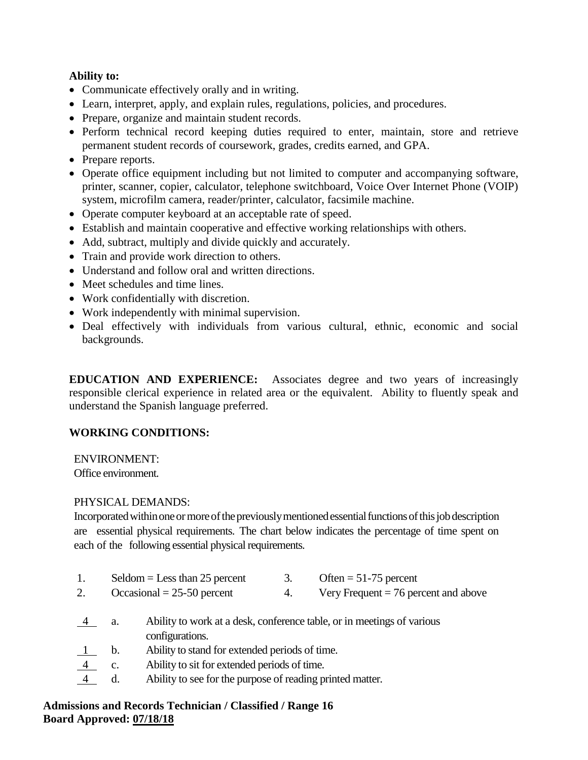## **Ability to:**

- Communicate effectively orally and in writing.
- Learn, interpret, apply, and explain rules, regulations, policies, and procedures.
- Prepare, organize and maintain student records.
- Perform technical record keeping duties required to enter, maintain, store and retrieve permanent student records of coursework, grades, credits earned, and GPA.
- Prepare reports.
- Operate office equipment including but not limited to computer and accompanying software, printer, scanner, copier, calculator, telephone switchboard, Voice Over Internet Phone (VOIP) system, microfilm camera, reader/printer, calculator, facsimile machine.
- Operate computer keyboard at an acceptable rate of speed.
- Establish and maintain cooperative and effective working relationships with others.
- Add, subtract, multiply and divide quickly and accurately.
- Train and provide work direction to others.
- Understand and follow oral and written directions.
- Meet schedules and time lines.
- Work confidentially with discretion.
- Work independently with minimal supervision.
- Deal effectively with individuals from various cultural, ethnic, economic and social backgrounds.

**EDUCATION AND EXPERIENCE:** Associates degree and two years of increasingly responsible clerical experience in related area or the equivalent. Ability to fluently speak and understand the Spanish language preferred.

## **WORKING CONDITIONS:**

ENVIRONMENT:

Office environment.

## PHYSICAL DEMANDS:

Incorporated within one or more of the previously mentioned essential functions of this job description are essential physical requirements. The chart below indicates the percentage of time spent on each of the following essential physical requirements.

1. Seldom = Less than 25 percent 3. Often =  $51-75$  percent 2. Occasional  $= 25-50$  percent 4. Very Frequent  $= 76$  percent and above 4 a. Ability to work at a desk, conference table, or in meetings of various configurations. b. Ability to stand for extended periods of time. c. Ability to sit for extended periods of time. d. Ability to see for the purpose of reading printed matter.

## **Admissions and Records Technician / Classified / Range 16 Board Approved: 07/18/18**